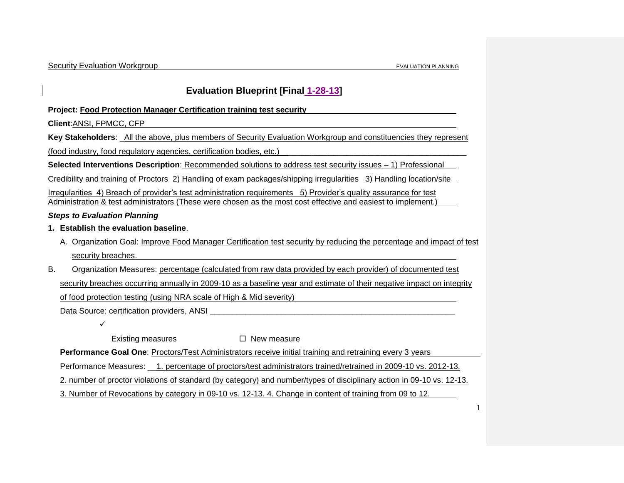# **Evaluation Blueprint [Final 1-28-13]**

**Project: Food Protection Manager Certification training test security**

**Client**:ANSI, FPMCC, CFP

**Key Stakeholders**: \_All the above, plus members of Security Evaluation Workgroup and constituencies they represent

(food industry, food regulatory agencies, certification bodies, etc.)

**Selected Interventions Description**: Recommended solutions to address test security issues – 1) Professional

Credibility and training of Proctors 2) Handling of exam packages/shipping irregularities 3) Handling location/site

Irregularities 4) Breach of provider's test administration requirements 5) Provider's quality assurance for test Administration & test administrators (These were chosen as the most cost effective and easiest to implement.)

## *Steps to Evaluation Planning*

- **1. Establish the evaluation baseline**.
	- A. Organization Goal: Improve Food Manager Certification test security by reducing the percentage and impact of test security breaches.
- B. Organization Measures: percentage (calculated from raw data provided by each provider) of documented test security breaches occurring annually in 2009-10 as a baseline year and estimate of their negative impact on integrity of food protection testing (using NRA scale of High & Mid severity)

Data Source: certification providers, ANSI

Existing measures  $\Box$  New measure

**Performance Goal One**: Proctors/Test Administrators receive initial training and retraining every 3 years

Performance Measures: \_\_1. percentage of proctors/test administrators trained/retrained in 2009-10 vs. 2012-13.

2. number of proctor violations of standard (by category) and number/types of disciplinary action in 09-10 vs. 12-13.

3. Number of Revocations by category in 09-10 vs. 12-13. 4. Change in content of training from 09 to 12.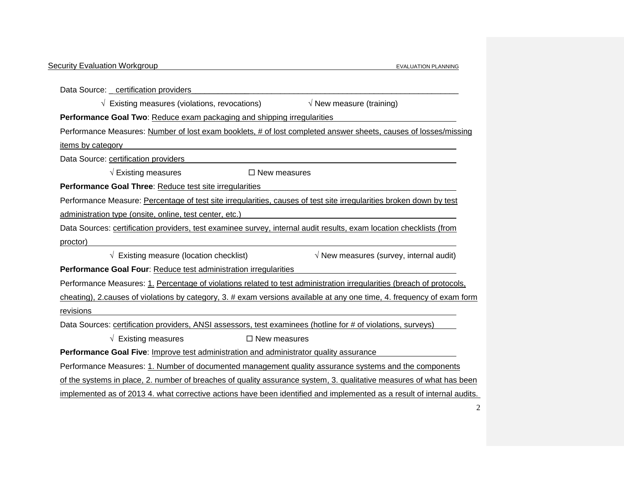| <b>Security Evaluation Workgroup</b>                                                                                   | <b>EVALUATION PLANNING</b>                      |
|------------------------------------------------------------------------------------------------------------------------|-------------------------------------------------|
|                                                                                                                        |                                                 |
| Data Source: _ certification providers                                                                                 |                                                 |
| $\sqrt{ }$ Existing measures (violations, revocations)                                                                 | $\sqrt{}$ New measure (training)                |
| Performance Goal Two: Reduce exam packaging and shipping irregularities                                                |                                                 |
| Performance Measures: Number of lost exam booklets, # of lost completed answer sheets, causes of losses/missing        |                                                 |
| items by category                                                                                                      |                                                 |
| Data Source: certification providers                                                                                   |                                                 |
| $\sqrt{\phantom{a}}$ Existing measures<br>$\Box$ New measures                                                          |                                                 |
| Performance Goal Three: Reduce test site irregularities                                                                |                                                 |
| Performance Measure: Percentage of test site irregularities, causes of test site irregularities broken down by test    |                                                 |
| administration type (onsite, online, test center, etc.)                                                                |                                                 |
| Data Sources: certification providers, test examinee survey, internal audit results, exam location checklists (from    |                                                 |
| proctor)                                                                                                               |                                                 |
| $\sqrt{}$ Existing measure (location checklist)                                                                        | $\sqrt{}$ New measures (survey, internal audit) |
| Performance Goal Four: Reduce test administration irregularities                                                       |                                                 |
| Performance Measures: 1. Percentage of violations related to test administration irregularities (breach of protocols,  |                                                 |
| cheating), 2.causes of violations by category, 3. # exam versions available at any one time, 4. frequency of exam form |                                                 |
| revisions                                                                                                              |                                                 |
| Data Sources: certification providers, ANSI assessors, test examinees (hotline for # of violations, surveys)           |                                                 |
| $\sqrt{\phantom{a}}$ Existing measures<br>$\Box$ New measures                                                          |                                                 |
| Performance Goal Five: Improve test administration and administrator quality assurance                                 |                                                 |
| Performance Measures: 1. Number of documented management quality assurance systems and the components                  |                                                 |
| of the systems in place, 2. number of breaches of quality assurance system, 3. qualitative measures of what has been   |                                                 |
| implemented as of 2013 4. what corrective actions have been identified and implemented as a result of internal audits. |                                                 |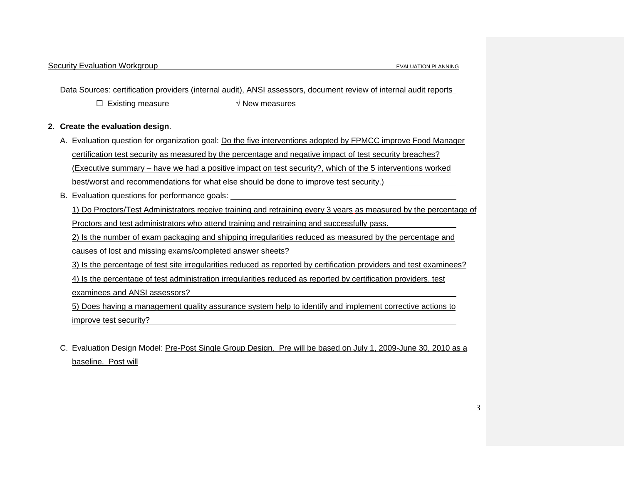Data Sources: certification providers (internal audit), ANSI assessors, document review of internal audit reports

Existing measure √ New measures

### **2. Create the evaluation design**.

- A. Evaluation question for organization goal: Do the five interventions adopted by FPMCC improve Food Manager certification test security as measured by the percentage and negative impact of test security breaches? (Executive summary – have we had a positive impact on test security?, which of the 5 interventions worked best/worst and recommendations for what else should be done to improve test security.)
- B. Evaluation questions for performance goals:

1) Do Proctors/Test Administrators receive training and retraining every 3 years as measured by the percentage of

Proctors and test administrators who attend training and retraining and successfully pass.

2) Is the number of exam packaging and shipping irregularities reduced as measured by the percentage and

causes of lost and missing exams/completed answer sheets?

3) Is the percentage of test site irregularities reduced as reported by certification providers and test examinees?

4) Is the percentage of test administration irregularities reduced as reported by certification providers, test

examinees and ANSI assessors?

5) Does having a management quality assurance system help to identify and implement corrective actions to improve test security?

C. Evaluation Design Model: Pre-Post Single Group Design. Pre will be based on July 1, 2009-June 30, 2010 as a baseline. Post will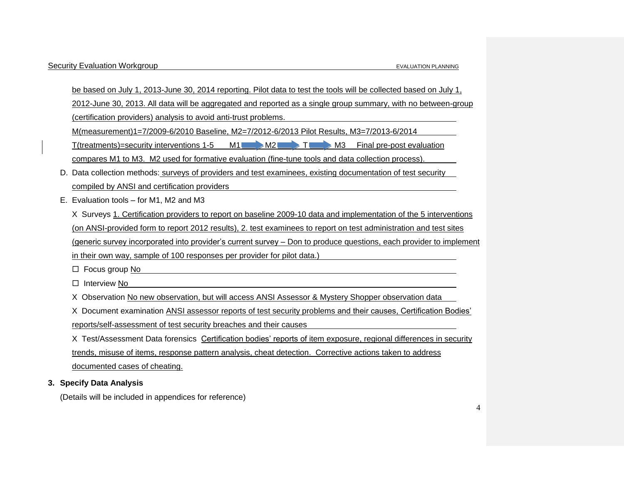be based on July 1, 2013-June 30, 2014 reporting. Pilot data to test the tools will be collected based on July 1, 2012-June 30, 2013. All data will be aggregated and reported as a single group summary, with no between-group (certification providers) analysis to avoid anti-trust problems.

M(measurement)1=7/2009-6/2010 Baseline, M2=7/2012-6/2013 Pilot Results, M3=7/2013-6/2014

T(treatments)=security interventions 1-5  $M1$  M2  $M2$  T M3 Final pre-post evaluation compares M1 to M3. M2 used for formative evaluation (fine-tune tools and data collection process).

D. Data collection methods: surveys of providers and test examinees, existing documentation of test security compiled by ANSI and certification providers

E. Evaluation tools – for M1, M2 and M3

X Surveys 1. Certification providers to report on baseline 2009-10 data and implementation of the 5 interventions (on ANSI-provided form to report 2012 results), 2. test examinees to report on test administration and test sites (generic survey incorporated into provider's current survey – Don to produce questions, each provider to implement in their own way, sample of 100 responses per provider for pilot data.)

 $\Box$  Focus group No

 $\Box$  Interview No

X Observation No new observation, but will access ANSI Assessor & Mystery Shopper observation data

X Document examination ANSI assessor reports of test security problems and their causes, Certification Bodies' reports/self-assessment of test security breaches and their causes

X Test/Assessment Data forensics Certification bodies' reports of item exposure, regional differences in security trends, misuse of items, response pattern analysis, cheat detection. Corrective actions taken to address documented cases of cheating.

# **3. Specify Data Analysis**

(Details will be included in appendices for reference)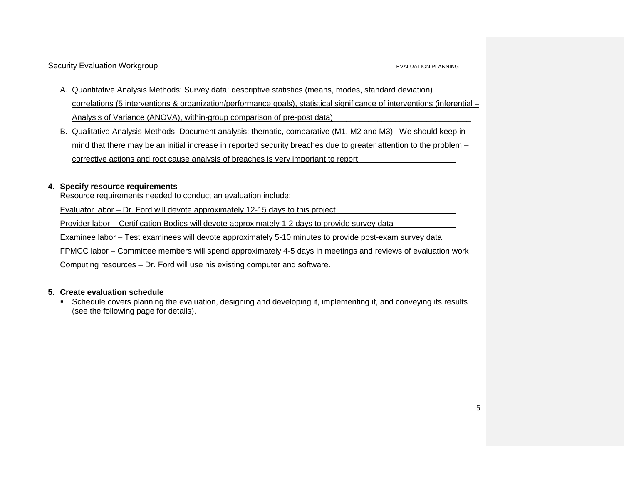- A. Quantitative Analysis Methods: Survey data: descriptive statistics (means, modes, standard deviation) correlations (5 interventions & organization/performance goals), statistical significance of interventions (inferential – Analysis of Variance (ANOVA), within-group comparison of pre-post data)
- B. Qualitative Analysis Methods: Document analysis: thematic, comparative (M1, M2 and M3). We should keep in mind that there may be an initial increase in reported security breaches due to greater attention to the problem – corrective actions and root cause analysis of breaches is very important to report.

## **4. Specify resource requirements**

Resource requirements needed to conduct an evaluation include:

Evaluator labor – Dr. Ford will devote approximately 12-15 days to this project

Provider labor – Certification Bodies will devote approximately 1-2 days to provide survey data

Examinee labor – Test examinees will devote approximately 5-10 minutes to provide post-exam survey data

FPMCC labor – Committee members will spend approximately 4-5 days in meetings and reviews of evaluation work

Computing resources – Dr. Ford will use his existing computer and software.

### **5. Create evaluation schedule**

 Schedule covers planning the evaluation, designing and developing it, implementing it, and conveying its results (see the following page for details).